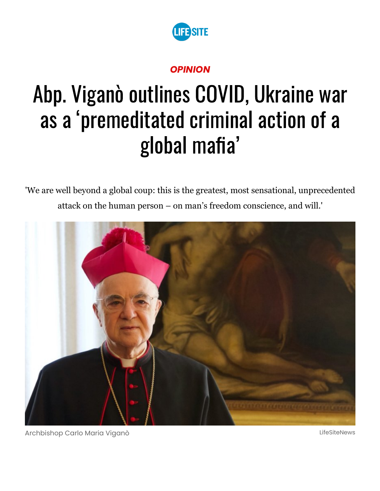

## *OPINION*

# Abp. Viganò outlines COVID, Ukraine war as a 'premeditated criminal action of a global mafia'

'We are well beyond a global coup: this is the greatest, most sensational, unprecedented attack on the human person – on man's freedom conscience, and will.'



Archbishop Carlo Maria Viganò LifeSiteNews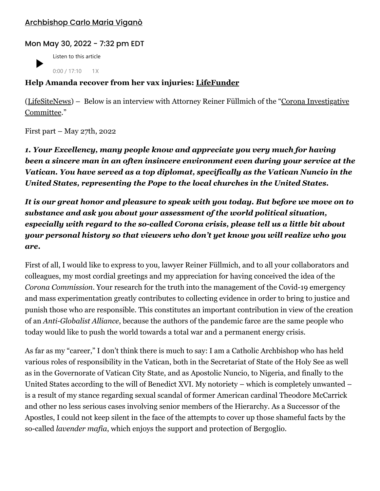#### [Archbishop](https://www.lifesitenews.com/author/archbishop-carlo-maria-vigano/) Carlo Maria Viganò

#### Mon May 30, 2022 - 7:32 pm EDT

Listen to this article  $0:00 / 17:10$  1X

#### **Help Amanda recover from her vax injuries: [LifeFunder](https://lifefunder.com/amandadamian?utm_source=article_053022)**

[\(L](https://odysee.com/@Corona-Investigative-Committee:5/s106en:a)[ifeSiteNews](https://www.lifesitenews.com/)[\) – Below is an interview with Attorney Reiner Füllmich of the "Corona Investigative](https://odysee.com/@Corona-Investigative-Committee:5/s106en:a) Committee."

First part – May 27th, 2022

*1. Your Excellency, many people know and appreciate you very much for having been a sincere man in an often insincere environment even during your service at the Vatican. You have served as a top diplomat, specifically as the Vatican Nuncio in the United States, representing the Pope to the local churches in the United States.*

*It is our great honor and pleasure to speak with you today. But before we move on to substance and ask you about your assessment of the world political situation, especially with regard to the so-called Corona crisis, please tell us a little bit about your personal history so that viewers who don't yet know you will realize who you are***.**

First of all, I would like to express to you, lawyer Reiner Füllmich, and to all your collaborators and colleagues, my most cordial greetings and my appreciation for having conceived the idea of the *Corona Commission*. Your research for the truth into the management of the Covid-19 emergency and mass experimentation greatly contributes to collecting evidence in order to bring to justice and punish those who are responsible. This constitutes an important contribution in view of the creation of an *Anti-Globalist Alliance*, because the authors of the pandemic farce are the same people who today would like to push the world towards a total war and a permanent energy crisis.

As far as my "career," I don't think there is much to say: I am a Catholic Archbishop who has held various roles of responsibility in the Vatican, both in the Secretariat of State of the Holy See as well as in the Governorate of Vatican City State, and as Apostolic Nuncio, to Nigeria, and finally to the United States according to the will of Benedict XVI. My notoriety – which is completely unwanted – is a result of my stance regarding sexual scandal of former American cardinal Theodore McCarrick and other no less serious cases involving senior members of the Hierarchy. As a Successor of the Apostles, I could not keep silent in the face of the attempts to cover up those shameful facts by the so-called *lavender mafia*, which enjoys the support and protection of Bergoglio.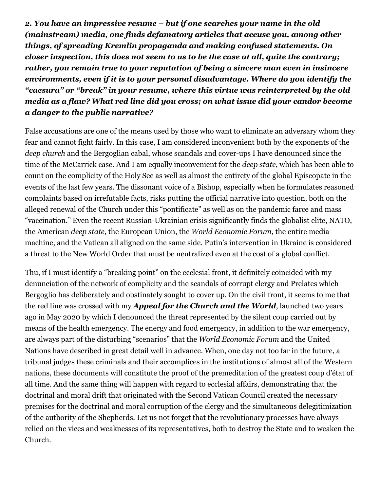*2. You have an impressive resume – but if one searches your name in the old (mainstream) media, one finds defamatory articles that accuse you, among other things, of spreading Kremlin propaganda and making confused statements. On closer inspection, this does not seem to us to be the case at all, quite the contrary; rather, you remain true to your reputation of being a sincere man even in insincere environments, even if it is to your personal disadvantage. Where do you identify the "caesura" or "break" in your resume, where this virtue was reinterpreted by the old media as a flaw? What red line did you cross; on what issue did your candor become a danger to the public narrative?*

False accusations are one of the means used by those who want to eliminate an adversary whom they fear and cannot fight fairly. In this case, I am considered inconvenient both by the exponents of the *deep church* and the Bergoglian cabal, whose scandals and cover-ups I have denounced since the time of the McCarrick case. And I am equally inconvenient for the *deep state*, which has been able to count on the complicity of the Holy See as well as almost the entirety of the global Episcopate in the events of the last few years. The dissonant voice of a Bishop, especially when he formulates reasoned complaints based on irrefutable facts, risks putting the official narrative into question, both on the alleged renewal of the Church under this "pontificate" as well as on the pandemic farce and mass "vaccination." Even the recent Russian-Ukrainian crisis significantly finds the globalist elite, NATO, the American *deep state*, the European Union, the *World Economic Forum*, the entire media machine, and the Vatican all aligned on the same side. Putin's intervention in Ukraine is considered a threat to the New World Order that must be neutralized even at the cost of a global conflict.

Thu, if I must identify a "breaking point" on the ecclesial front, it definitely coincided with my denunciation of the network of complicity and the scandals of corrupt clergy and Prelates which Bergoglio has deliberately and obstinately sought to cover up. On the civil front, it seems to me that the red line was crossed with my *Appeal for the Church and the World*, launched two years ago in May 2020 by which I denounced the threat represented by the silent coup carried out by means of the health emergency. The energy and food emergency, in addition to the war emergency, are always part of the disturbing "scenarios" that the *World Economic Forum* and the United Nations have described in great detail well in advance. When, one day not too far in the future, a tribunal judges these criminals and their accomplices in the institutions of almost all of the Western nations, these documents will constitute the proof of the premeditation of the greatest coup d'état of all time. And the same thing will happen with regard to ecclesial affairs, demonstrating that the doctrinal and moral drift that originated with the Second Vatican Council created the necessary premises for the doctrinal and moral corruption of the clergy and the simultaneous delegitimization of the authority of the Shepherds. Let us not forget that the revolutionary processes have always relied on the vices and weaknesses of its representatives, both to destroy the State and to weaken the Church.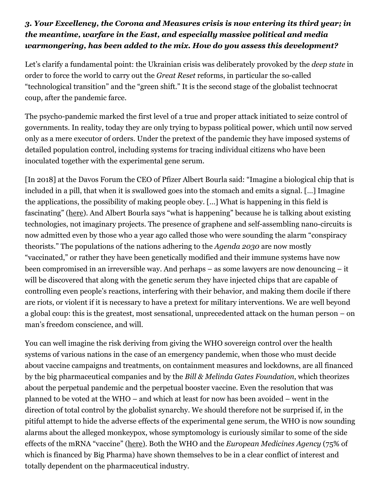### *3. Your Excellency, the Corona and Measures crisis is now entering its third year; in the meantime, warfare in the East, and especially massive political and media warmongering, has been added to the mix. How do you assess this development?*

Let's clarify a fundamental point: the Ukrainian crisis was deliberately provoked by the *deep state* in order to force the world to carry out the *Great Reset* reforms, in particular the so-called "technological transition" and the "green shift." It is the second stage of the globalist technocrat coup, after the pandemic farce.

The psycho-pandemic marked the first level of a true and proper attack initiated to seize control of governments. In reality, today they are only trying to bypass political power, which until now served only as a mere executor of orders. Under the pretext of the pandemic they have imposed systems of detailed population control, including systems for tracing individual citizens who have been inoculated together with the experimental gene serum.

[In 2018] at the Davos Forum the CEO of Pfizer Albert Bourla said: "Imagine a biological chip that is included in a pill, that when it is swallowed goes into the stomach and emits a signal. […] Imagine the applications, the possibility of making people obey. […] What is happening in this field is fascinating" ([here](https://scenarieconomici.it/il-ceo-di-pfizer-a-davos-se-potessimo-far-ingerire-un-chip-immaginate-il-grado-di-obbedienza-che-otterremmo/)). And Albert Bourla says "what is happening" because he is talking about existing technologies, not imaginary projects. The presence of graphene and self-assembling nano-circuits is now admitted even by those who a year ago called those who were sounding the alarm "conspiracy theorists." The populations of the nations adhering to the *Agenda 2030* are now mostly "vaccinated," or rather they have been genetically modified and their immune systems have now been compromised in an irreversible way. And perhaps – as some lawyers are now denouncing – it will be discovered that along with the genetic serum they have injected chips that are capable of controlling even people's reactions, interfering with their behavior, and making them docile if there are riots, or violent if it is necessary to have a pretext for military interventions. We are well beyond a global coup: this is the greatest, most sensational, unprecedented attack on the human person – on man's freedom conscience, and will.

You can well imagine the risk deriving from giving the WHO sovereign control over the health systems of various nations in the case of an emergency pandemic, when those who must decide about vaccine campaigns and treatments, on containment measures and lockdowns, are all financed by the big pharmaceutical companies and by the *Bill & Melinda Gates Foundation*, which theorizes about the perpetual pandemic and the perpetual booster vaccine. Even the resolution that was planned to be voted at the WHO – and which at least for now has been avoided – went in the direction of total control by the globalist synarchy. We should therefore not be surprised if, in the pitiful attempt to hide the adverse effects of the experimental gene serum, the WHO is now sounding alarms about the alleged monkeypox, whose symptomology is curiously similar to some of the side effects of the mRNA "vaccine" ([here](https://twitter.com/AxlGuidato/status/1529128600011694082)). Both the WHO and the *European Medicines Agency* (75% of which is financed by Big Pharma) have shown themselves to be in a clear conflict of interest and totally dependent on the pharmaceutical industry.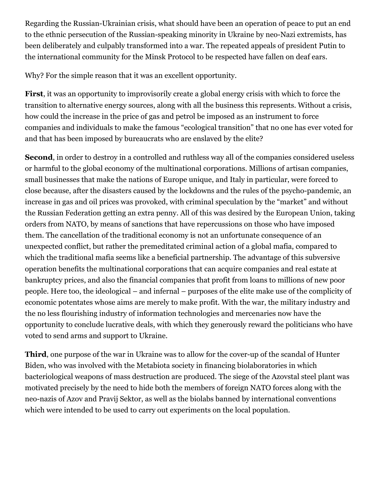Regarding the Russian-Ukrainian crisis, what should have been an operation of peace to put an end to the ethnic persecution of the Russian-speaking minority in Ukraine by neo-Nazi extremists, has been deliberately and culpably transformed into a war. The repeated appeals of president Putin to the international community for the Minsk Protocol to be respected have fallen on deaf ears.

Why? For the simple reason that it was an excellent opportunity.

**First**, it was an opportunity to improvisorily create a global energy crisis with which to force the transition to alternative energy sources, along with all the business this represents. Without a crisis, how could the increase in the price of gas and petrol be imposed as an instrument to force companies and individuals to make the famous "ecological transition" that no one has ever voted for and that has been imposed by bureaucrats who are enslaved by the elite?

**Second**, in order to destroy in a controlled and ruthless way all of the companies considered useless or harmful to the global economy of the multinational corporations. Millions of artisan companies, small businesses that make the nations of Europe unique, and Italy in particular, were forced to close because, after the disasters caused by the lockdowns and the rules of the psycho-pandemic, an increase in gas and oil prices was provoked, with criminal speculation by the "market" and without the Russian Federation getting an extra penny. All of this was desired by the European Union, taking orders from NATO, by means of sanctions that have repercussions on those who have imposed them. The cancellation of the traditional economy is not an unfortunate consequence of an unexpected conflict, but rather the premeditated criminal action of a global mafia, compared to which the traditional mafia seems like a beneficial partnership. The advantage of this subversive operation benefits the multinational corporations that can acquire companies and real estate at bankruptcy prices, and also the financial companies that profit from loans to millions of new poor people. Here too, the ideological – and infernal – purposes of the elite make use of the complicity of economic potentates whose aims are merely to make profit. With the war, the military industry and the no less flourishing industry of information technologies and mercenaries now have the opportunity to conclude lucrative deals, with which they generously reward the politicians who have voted to send arms and support to Ukraine.

**Third**, one purpose of the war in Ukraine was to allow for the cover-up of the scandal of Hunter Biden, who was involved with the Metabiota society in financing biolaboratories in which bacteriological weapons of mass destruction are produced. The siege of the Azovstal steel plant was motivated precisely by the need to hide both the members of foreign NATO forces along with the neo-nazis of Azov and Pravij Sektor, as well as the biolabs banned by international conventions which were intended to be used to carry out experiments on the local population.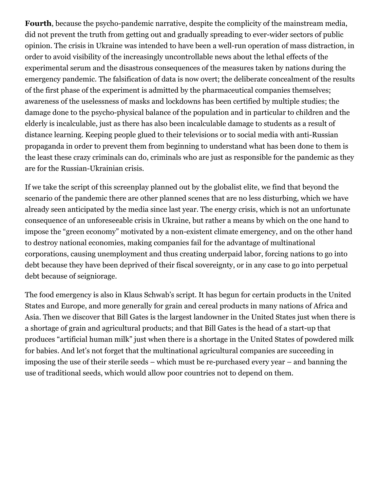**Fourth**, because the psycho-pandemic narrative, despite the complicity of the mainstream media, did not prevent the truth from getting out and gradually spreading to ever-wider sectors of public opinion. The crisis in Ukraine was intended to have been a well-run operation of mass distraction, in order to avoid visibility of the increasingly uncontrollable news about the lethal effects of the experimental serum and the disastrous consequences of the measures taken by nations during the emergency pandemic. The falsification of data is now overt; the deliberate concealment of the results of the first phase of the experiment is admitted by the pharmaceutical companies themselves; awareness of the uselessness of masks and lockdowns has been certified by multiple studies; the damage done to the psycho-physical balance of the population and in particular to children and the elderly is incalculable, just as there has also been incalculable damage to students as a result of distance learning. Keeping people glued to their televisions or to social media with anti-Russian propaganda in order to prevent them from beginning to understand what has been done to them is the least these crazy criminals can do, criminals who are just as responsible for the pandemic as they are for the Russian-Ukrainian crisis.

If we take the script of this screenplay planned out by the globalist elite, we find that beyond the scenario of the pandemic there are other planned scenes that are no less disturbing, which we have already seen anticipated by the media since last year. The energy crisis, which is not an unfortunate consequence of an unforeseeable crisis in Ukraine, but rather a means by which on the one hand to impose the "green economy" motivated by a non-existent climate emergency, and on the other hand to destroy national economies, making companies fail for the advantage of multinational corporations, causing unemployment and thus creating underpaid labor, forcing nations to go into debt because they have been deprived of their fiscal sovereignty, or in any case to go into perpetual debt because of seigniorage.

The food emergency is also in Klaus Schwab's script. It has begun for certain products in the United States and Europe, and more generally for grain and cereal products in many nations of Africa and Asia. Then we discover that Bill Gates is the largest landowner in the United States just when there is a shortage of grain and agricultural products; and that Bill Gates is the head of a start-up that produces "artificial human milk" just when there is a shortage in the United States of powdered milk for babies. And let's not forget that the multinational agricultural companies are succeeding in imposing the use of their sterile seeds – which must be re-purchased every year – and banning the use of traditional seeds, which would allow poor countries not to depend on them.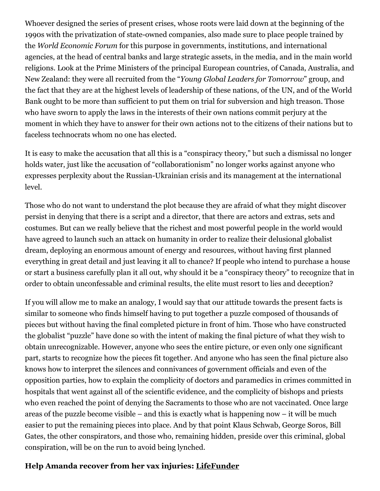Whoever designed the series of present crises, whose roots were laid down at the beginning of the 1990s with the privatization of state-owned companies, also made sure to place people trained by the *World Economic Forum* for this purpose in governments, institutions, and international agencies, at the head of central banks and large strategic assets, in the media, and in the main world religions. Look at the Prime Ministers of the principal European countries, of Canada, Australia, and New Zealand: they were all recruited from the "*Young Global Leaders for Tomorrow*" group, and the fact that they are at the highest levels of leadership of these nations, of the UN, and of the World Bank ought to be more than sufficient to put them on trial for subversion and high treason. Those who have sworn to apply the laws in the interests of their own nations commit perjury at the moment in which they have to answer for their own actions not to the citizens of their nations but to faceless technocrats whom no one has elected.

It is easy to make the accusation that all this is a "conspiracy theory," but such a dismissal no longer holds water, just like the accusation of "collaborationism" no longer works against anyone who expresses perplexity about the Russian-Ukrainian crisis and its management at the international level.

Those who do not want to understand the plot because they are afraid of what they might discover persist in denying that there is a script and a director, that there are actors and extras, sets and costumes. But can we really believe that the richest and most powerful people in the world would have agreed to launch such an attack on humanity in order to realize their delusional globalist dream, deploying an enormous amount of energy and resources, without having first planned everything in great detail and just leaving it all to chance? If people who intend to purchase a house or start a business carefully plan it all out, why should it be a "conspiracy theory" to recognize that in order to obtain unconfessable and criminal results, the elite must resort to lies and deception?

If you will allow me to make an analogy, I would say that our attitude towards the present facts is similar to someone who finds himself having to put together a puzzle composed of thousands of pieces but without having the final completed picture in front of him. Those who have constructed the globalist "puzzle" have done so with the intent of making the final picture of what they wish to obtain unrecognizable. However, anyone who sees the entire picture, or even only one significant part, starts to recognize how the pieces fit together. And anyone who has seen the final picture also knows how to interpret the silences and connivances of government officials and even of the opposition parties, how to explain the complicity of doctors and paramedics in crimes committed in hospitals that went against all of the scientific evidence, and the complicity of bishops and priests who even reached the point of denying the Sacraments to those who are not vaccinated. Once large areas of the puzzle become visible – and this is exactly what is happening now – it will be much easier to put the remaining pieces into place. And by that point Klaus Schwab, George Soros, Bill Gates, the other conspirators, and those who, remaining hidden, preside over this criminal, global conspiration, will be on the run to avoid being lynched.

#### **Help Amanda recover from her vax injuries: [LifeFunder](https://lifefunder.com/amandadamian?utm_source=article_053022)**